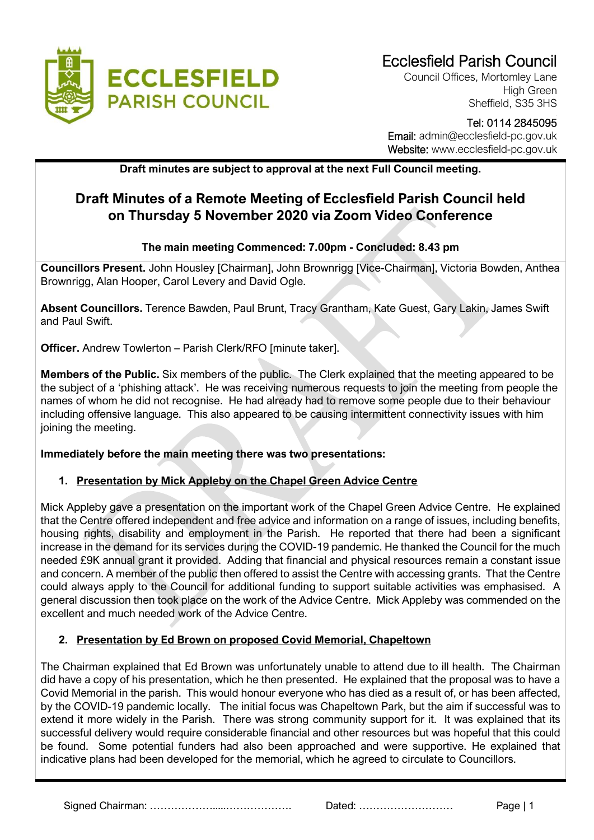

Council Offices, Mortomley Lane High Green Sheffield, S35 3HS

#### Tel: 0114 2845095 Email: admin@ecclesfield-pc.gov.uk Website: www.ecclesfield-pc.gov.uk

**Draft minutes are subject to approval at the next Full Council meeting.** 

# **Draft Minutes of a Remote Meeting of Ecclesfield Parish Council held on Thursday 5 November 2020 via Zoom Video Conference**

## **The main meeting Commenced: 7.00pm - Concluded: 8.43 pm**

**Councillors Present.** John Housley [Chairman], John Brownrigg [Vice-Chairman], Victoria Bowden, Anthea Brownrigg, Alan Hooper, Carol Levery and David Ogle.

**Absent Councillors.** Terence Bawden, Paul Brunt, Tracy Grantham, Kate Guest, Gary Lakin, James Swift and Paul Swift.

**Officer.** Andrew Towlerton – Parish Clerk/RFO [minute taker].

**Members of the Public.** Six members of the public. The Clerk explained that the meeting appeared to be the subject of a 'phishing attack'. He was receiving numerous requests to join the meeting from people the names of whom he did not recognise. He had already had to remove some people due to their behaviour including offensive language. This also appeared to be causing intermittent connectivity issues with him joining the meeting.

## **Immediately before the main meeting there was two presentations:**

## **1. Presentation by Mick Appleby on the Chapel Green Advice Centre**

Mick Appleby gave a presentation on the important work of the Chapel Green Advice Centre. He explained that the Centre offered independent and free advice and information on a range of issues, including benefits, housing rights, disability and employment in the Parish. He reported that there had been a significant increase in the demand for its services during the COVID-19 pandemic. He thanked the Council for the much needed £9K annual grant it provided. Adding that financial and physical resources remain a constant issue and concern. A member of the public then offered to assist the Centre with accessing grants. That the Centre could always apply to the Council for additional funding to support suitable activities was emphasised. A general discussion then took place on the work of the Advice Centre. Mick Appleby was commended on the excellent and much needed work of the Advice Centre.

#### **2. Presentation by Ed Brown on proposed Covid Memorial, Chapeltown**

The Chairman explained that Ed Brown was unfortunately unable to attend due to ill health. The Chairman did have a copy of his presentation, which he then presented. He explained that the proposal was to have a Covid Memorial in the parish. This would honour everyone who has died as a result of, or has been affected, by the COVID-19 pandemic locally. The initial focus was Chapeltown Park, but the aim if successful was to extend it more widely in the Parish. There was strong community support for it. It was explained that its successful delivery would require considerable financial and other resources but was hopeful that this could be found. Some potential funders had also been approached and were supportive. He explained that indicative plans had been developed for the memorial, which he agreed to circulate to Councillors.

Signed Chairman: ……………….....………………. Dated: ……………………… Page | 1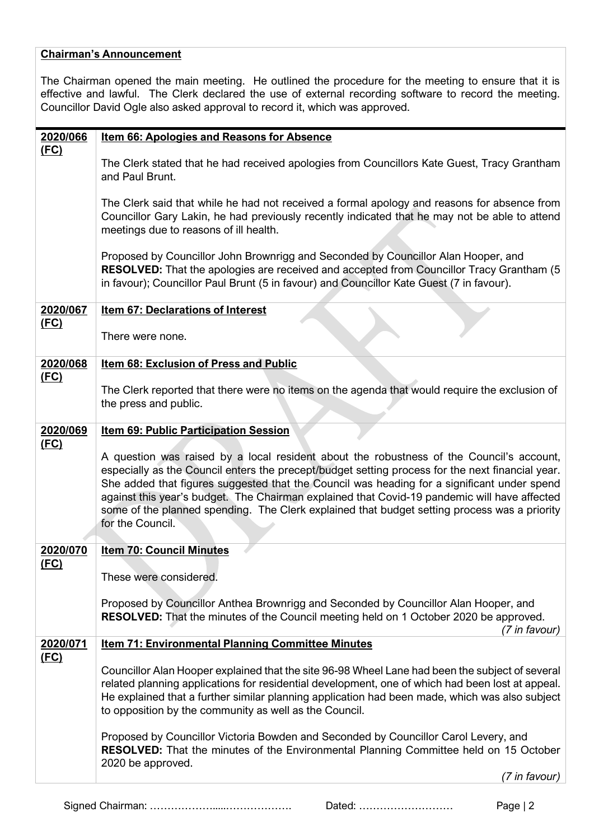#### **Chairman's Announcement**

The Chairman opened the main meeting. He outlined the procedure for the meeting to ensure that it is effective and lawful. The Clerk declared the use of external recording software to record the meeting. Councillor David Ogle also asked approval to record it, which was approved.

| 2020/066                | Item 66: Apologies and Reasons for Absence                                                                                                                                                                                                                                                                                                                                                                                                                                                                      |
|-------------------------|-----------------------------------------------------------------------------------------------------------------------------------------------------------------------------------------------------------------------------------------------------------------------------------------------------------------------------------------------------------------------------------------------------------------------------------------------------------------------------------------------------------------|
| <u>(FC)</u>             | The Clerk stated that he had received apologies from Councillors Kate Guest, Tracy Grantham<br>and Paul Brunt.                                                                                                                                                                                                                                                                                                                                                                                                  |
|                         | The Clerk said that while he had not received a formal apology and reasons for absence from<br>Councillor Gary Lakin, he had previously recently indicated that he may not be able to attend<br>meetings due to reasons of ill health.                                                                                                                                                                                                                                                                          |
|                         | Proposed by Councillor John Brownrigg and Seconded by Councillor Alan Hooper, and<br>RESOLVED: That the apologies are received and accepted from Councillor Tracy Grantham (5<br>in favour); Councillor Paul Brunt (5 in favour) and Councillor Kate Guest (7 in favour).                                                                                                                                                                                                                                       |
| 2020/067<br><u>(FC)</u> | <b>Item 67: Declarations of Interest</b>                                                                                                                                                                                                                                                                                                                                                                                                                                                                        |
|                         | There were none.                                                                                                                                                                                                                                                                                                                                                                                                                                                                                                |
| 2020/068<br><u>(FC)</u> | <b>Item 68: Exclusion of Press and Public</b>                                                                                                                                                                                                                                                                                                                                                                                                                                                                   |
|                         | The Clerk reported that there were no items on the agenda that would require the exclusion of<br>the press and public.                                                                                                                                                                                                                                                                                                                                                                                          |
| 2020/069                | <b>Item 69: Public Participation Session</b>                                                                                                                                                                                                                                                                                                                                                                                                                                                                    |
| (FC)                    | A question was raised by a local resident about the robustness of the Council's account,<br>especially as the Council enters the precept/budget setting process for the next financial year.<br>She added that figures suggested that the Council was heading for a significant under spend<br>against this year's budget. The Chairman explained that Covid-19 pandemic will have affected<br>some of the planned spending. The Clerk explained that budget setting process was a priority<br>for the Council. |
| 2020/070                | <b>Item 70: Council Minutes</b>                                                                                                                                                                                                                                                                                                                                                                                                                                                                                 |
| <u>(FC)</u>             | These were considered.                                                                                                                                                                                                                                                                                                                                                                                                                                                                                          |
|                         | Proposed by Councillor Anthea Brownrigg and Seconded by Councillor Alan Hooper, and<br><b>RESOLVED:</b> That the minutes of the Council meeting held on 1 October 2020 be approved.<br>(7 in favour)                                                                                                                                                                                                                                                                                                            |
| 2020/071<br><u>(FC)</u> | <b>Item 71: Environmental Planning Committee Minutes</b>                                                                                                                                                                                                                                                                                                                                                                                                                                                        |
|                         | Councillor Alan Hooper explained that the site 96-98 Wheel Lane had been the subject of several<br>related planning applications for residential development, one of which had been lost at appeal.<br>He explained that a further similar planning application had been made, which was also subject<br>to opposition by the community as well as the Council.                                                                                                                                                 |
|                         | Proposed by Councillor Victoria Bowden and Seconded by Councillor Carol Levery, and<br><b>RESOLVED:</b> That the minutes of the Environmental Planning Committee held on 15 October<br>2020 be approved.                                                                                                                                                                                                                                                                                                        |
|                         | (7 in favour)                                                                                                                                                                                                                                                                                                                                                                                                                                                                                                   |

Signed Chairman: ……………….....………………. Dated: ……………………… Page | 2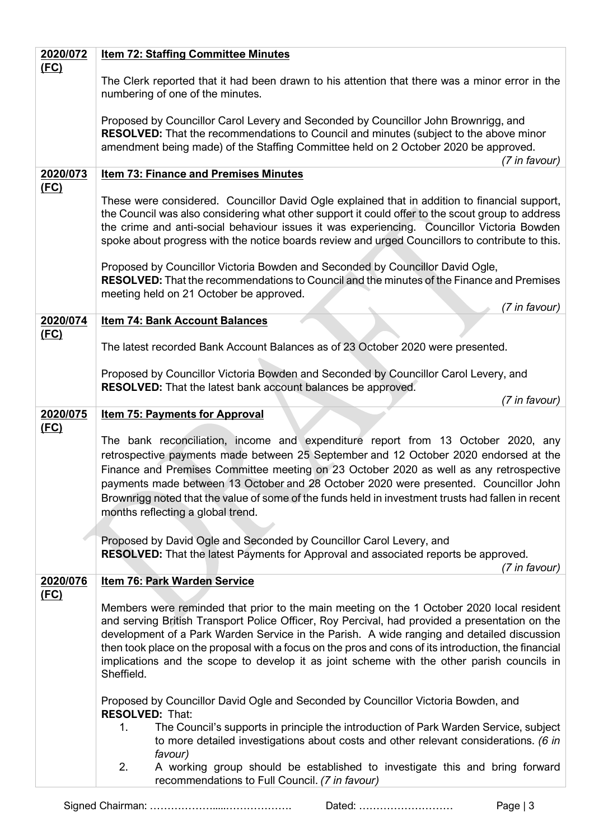| 2020/072    | <b>Item 72: Staffing Committee Minutes</b>                                                                                                                                                                                                                                                                                                                                                                                                                                                                    |
|-------------|---------------------------------------------------------------------------------------------------------------------------------------------------------------------------------------------------------------------------------------------------------------------------------------------------------------------------------------------------------------------------------------------------------------------------------------------------------------------------------------------------------------|
| <u>(FC)</u> | The Clerk reported that it had been drawn to his attention that there was a minor error in the<br>numbering of one of the minutes.                                                                                                                                                                                                                                                                                                                                                                            |
|             | Proposed by Councillor Carol Levery and Seconded by Councillor John Brownrigg, and<br><b>RESOLVED:</b> That the recommendations to Council and minutes (subject to the above minor<br>amendment being made) of the Staffing Committee held on 2 October 2020 be approved.<br>(7 in favour)                                                                                                                                                                                                                    |
| 2020/073    | <b>Item 73: Finance and Premises Minutes</b>                                                                                                                                                                                                                                                                                                                                                                                                                                                                  |
| <u>(FC)</u> | These were considered. Councillor David Ogle explained that in addition to financial support,<br>the Council was also considering what other support it could offer to the scout group to address<br>the crime and anti-social behaviour issues it was experiencing. Councillor Victoria Bowden<br>spoke about progress with the notice boards review and urged Councillors to contribute to this.                                                                                                            |
|             | Proposed by Councillor Victoria Bowden and Seconded by Councillor David Ogle,<br>RESOLVED: That the recommendations to Council and the minutes of the Finance and Premises<br>meeting held on 21 October be approved.<br>(7 in favour)                                                                                                                                                                                                                                                                        |
| 2020/074    | <b>Item 74: Bank Account Balances</b>                                                                                                                                                                                                                                                                                                                                                                                                                                                                         |
| (FC)        | The latest recorded Bank Account Balances as of 23 October 2020 were presented.                                                                                                                                                                                                                                                                                                                                                                                                                               |
|             | Proposed by Councillor Victoria Bowden and Seconded by Councillor Carol Levery, and<br><b>RESOLVED:</b> That the latest bank account balances be approved.                                                                                                                                                                                                                                                                                                                                                    |
| 2020/075    | (7 in favour)<br><b>Item 75: Payments for Approval</b>                                                                                                                                                                                                                                                                                                                                                                                                                                                        |
| <u>(FC)</u> |                                                                                                                                                                                                                                                                                                                                                                                                                                                                                                               |
|             | The bank reconciliation, income and expenditure report from 13 October 2020, any<br>retrospective payments made between 25 September and 12 October 2020 endorsed at the<br>Finance and Premises Committee meeting on 23 October 2020 as well as any retrospective<br>payments made between 13 October and 28 October 2020 were presented. Councillor John<br>Brownrigg noted that the value of some of the funds held in investment trusts had fallen in recent<br>months reflecting a global trend.         |
|             | Proposed by David Ogle and Seconded by Councillor Carol Levery, and<br>RESOLVED: That the latest Payments for Approval and associated reports be approved.<br>(7 in favour)                                                                                                                                                                                                                                                                                                                                   |
| 2020/076    | <b>Item 76: Park Warden Service</b>                                                                                                                                                                                                                                                                                                                                                                                                                                                                           |
| (FC)        | Members were reminded that prior to the main meeting on the 1 October 2020 local resident<br>and serving British Transport Police Officer, Roy Percival, had provided a presentation on the<br>development of a Park Warden Service in the Parish. A wide ranging and detailed discussion<br>then took place on the proposal with a focus on the pros and cons of its introduction, the financial<br>implications and the scope to develop it as joint scheme with the other parish councils in<br>Sheffield. |
|             | Proposed by Councillor David Ogle and Seconded by Councillor Victoria Bowden, and                                                                                                                                                                                                                                                                                                                                                                                                                             |
|             | <b>RESOLVED: That:</b>                                                                                                                                                                                                                                                                                                                                                                                                                                                                                        |
|             | The Council's supports in principle the introduction of Park Warden Service, subject<br>1.<br>to more detailed investigations about costs and other relevant considerations. (6 in<br>favour)                                                                                                                                                                                                                                                                                                                 |
|             | 2.<br>A working group should be established to investigate this and bring forward<br>recommendations to Full Council. (7 in favour)                                                                                                                                                                                                                                                                                                                                                                           |

Signed Chairman: ……………….....………………. Dated: ……………………… Page | 3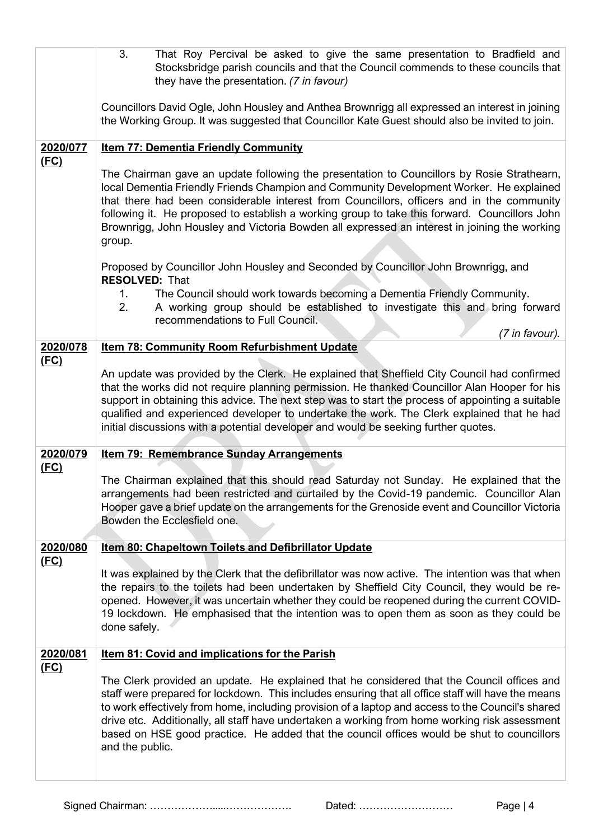| 3.<br>That Roy Percival be asked to give the same presentation to Bradfield and<br>Stocksbridge parish councils and that the Council commends to these councils that<br>they have the presentation. (7 in favour)                                                                                                                                                                                                                                                                                                        |
|--------------------------------------------------------------------------------------------------------------------------------------------------------------------------------------------------------------------------------------------------------------------------------------------------------------------------------------------------------------------------------------------------------------------------------------------------------------------------------------------------------------------------|
| Councillors David Ogle, John Housley and Anthea Brownrigg all expressed an interest in joining<br>the Working Group. It was suggested that Councillor Kate Guest should also be invited to join.                                                                                                                                                                                                                                                                                                                         |
| <b>Item 77: Dementia Friendly Community</b>                                                                                                                                                                                                                                                                                                                                                                                                                                                                              |
| The Chairman gave an update following the presentation to Councillors by Rosie Strathearn,<br>local Dementia Friendly Friends Champion and Community Development Worker. He explained<br>that there had been considerable interest from Councillors, officers and in the community<br>following it. He proposed to establish a working group to take this forward. Councillors John<br>Brownrigg, John Housley and Victoria Bowden all expressed an interest in joining the working<br>group.                            |
| Proposed by Councillor John Housley and Seconded by Councillor John Brownrigg, and<br><b>RESOLVED: That</b>                                                                                                                                                                                                                                                                                                                                                                                                              |
| The Council should work towards becoming a Dementia Friendly Community.<br>1.<br>A working group should be established to investigate this and bring forward<br>2.<br>recommendations to Full Council.                                                                                                                                                                                                                                                                                                                   |
| (7 in favour).<br><b>Item 78: Community Room Refurbishment Update</b>                                                                                                                                                                                                                                                                                                                                                                                                                                                    |
| An update was provided by the Clerk. He explained that Sheffield City Council had confirmed                                                                                                                                                                                                                                                                                                                                                                                                                              |
| that the works did not require planning permission. He thanked Councillor Alan Hooper for his                                                                                                                                                                                                                                                                                                                                                                                                                            |
| support in obtaining this advice. The next step was to start the process of appointing a suitable<br>qualified and experienced developer to undertake the work. The Clerk explained that he had                                                                                                                                                                                                                                                                                                                          |
| initial discussions with a potential developer and would be seeking further quotes.                                                                                                                                                                                                                                                                                                                                                                                                                                      |
| <b>Item 79: Remembrance Sunday Arrangements</b>                                                                                                                                                                                                                                                                                                                                                                                                                                                                          |
| The Chairman explained that this should read Saturday not Sunday. He explained that the<br>arrangements had been restricted and curtailed by the Covid-19 pandemic. Councillor Alan<br>Hooper gave a brief update on the arrangements for the Grenoside event and Councillor Victoria<br>Bowden the Ecclesfield one.                                                                                                                                                                                                     |
| Item 80: Chapeltown Toilets and Defibrillator Update                                                                                                                                                                                                                                                                                                                                                                                                                                                                     |
| It was explained by the Clerk that the defibrillator was now active. The intention was that when<br>the repairs to the toilets had been undertaken by Sheffield City Council, they would be re-<br>opened. However, it was uncertain whether they could be reopened during the current COVID-<br>19 lockdown. He emphasised that the intention was to open them as soon as they could be<br>done safely.                                                                                                                 |
| <b>Item 81: Covid and implications for the Parish</b>                                                                                                                                                                                                                                                                                                                                                                                                                                                                    |
| The Clerk provided an update. He explained that he considered that the Council offices and<br>staff were prepared for lockdown. This includes ensuring that all office staff will have the means<br>to work effectively from home, including provision of a laptop and access to the Council's shared<br>drive etc. Additionally, all staff have undertaken a working from home working risk assessment<br>based on HSE good practice. He added that the council offices would be shut to councillors<br>and the public. |
|                                                                                                                                                                                                                                                                                                                                                                                                                                                                                                                          |